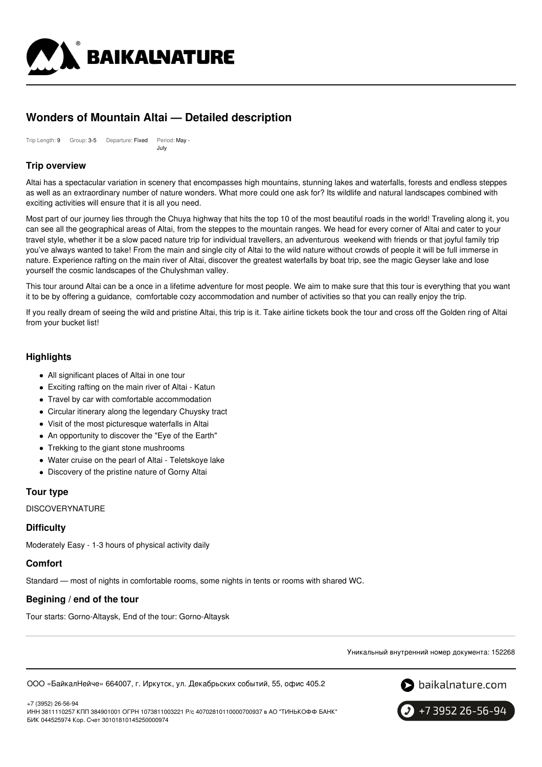

# **Wonders of Mountain Altai — Detailed description**

Trip Length: 9 Group: 3-5 Departure: Fixed Period: May -July

# **Trip overview**

Altai has a spectacular variation in scenery that encompasses high mountains, stunning lakes and waterfalls, forests and endless steppes as well as an extraordinary number of nature wonders. What more could one ask for? Its wildlife and natural landscapes combined with exciting activities will ensure that it is all you need.

Most part of our journey lies through the Chuya highway that hits the top 10 of the most beautiful roads in the world! Traveling along it, you can see all the geographical areas of Altai, from the steppes to the mountain ranges. We head for every corner of Altai and cater to your travel style, whether it be a slow paced nature trip for individual travellers, an adventurous weekend with friends or that joyful family trip you've always wanted to take! From the main and single city of Altai to the wild nature without crowds of people it will be full immerse in nature. Experience rafting on the main river of Altai, discover the greatest waterfalls by boat trip, see the magic Geyser lake and lose yourself the cosmic landscapes of the Chulyshman valley.

This tour around Altai can be a once in a lifetime adventure for most people. We aim to make sure that this tour is everything that you want it to be by offering a guidance, comfortable cozy accommodation and number of activities so that you can really enjoy the trip.

If you really dream of seeing the wild and pristine Altai, this trip is it. Take airline tickets book the tour and cross off the Golden ring of Altai from your bucket list!

# **Highlights**

- All significant places of Altai in one tour
- Exciting rafting on the main river of Altai Katun
- Travel by car with comfortable accommodation
- Circular itinerary along the legendary Chuysky tract
- Visit of the most picturesque waterfalls in Altai
- An opportunity to discover the "Eye of the Earth"
- Trekking to the giant stone mushrooms
- Water cruise on the pearl of Altai Teletskoye lake
- Discovery of the pristine nature of Gorny Altai

# **Tour type**

DISCOVERYNATURE

# **Difficulty**

Moderately Easy - 1-3 hours of physical activity daily

### **Comfort**

Standard — most of nights in comfortable rooms, some nights in tents or rooms with shared WC.

# **Begining / end of the tour**

Tour starts: Gorno-Altaysk, End of the tour: Gorno-Altaysk

Уникальный внутренний номер документа: 152268

ООО «БайкалНейче» 664007, г. Иркутск, ул. Декабрьских событий, 55, офис 405.2



+7 (3952) 26-56-94

ИНН 3811110257 КПП 384901001 ОГРН 1073811003221 Р/с 40702810110000700937 в АО "ТИНЬКОФФ БАНК" БИК 044525974 Кор. Счет 30101810145250000974

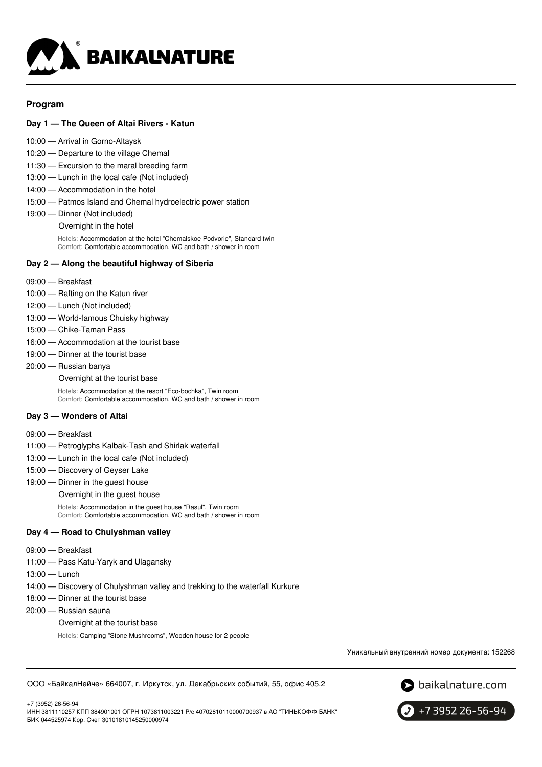

### **Program**

### **Day 1 — The Queen of Altai Rivers - Katun**

- 10:00 Arrival in Gorno-Altaysk
- 10:20 Departure to the village Chemal
- 11:30 Excursion to the maral breeding farm
- 13:00 Lunch in the local cafe (Not included)
- 14:00 Accommodation in the hotel
- 15:00 Patmos Island and Chemal hydroelectric power station
- 19:00 Dinner (Not included)

Overnight in the hotel

Hotels: Accommodation at the hotel "Chemalskoe Podvorie", Standard twin Comfort: Comfortable accommodation, WC and bath / shower in room

### **Day 2 — Along the beautiful highway of Siberia**

- 09:00 Breakfast
- 10:00 Rafting on the Katun river
- 12:00 Lunch (Not included)
- 13:00 World-famous Chuisky highway
- 15:00 Chike-Taman Pass
- 16:00 Accommodation at the tourist base
- 19:00 Dinner at the tourist base
- 20:00 Russian banya Overnight at the tourist base Hotels: Accommodation at the resort "Eco-bochka", Twin room Comfort: Comfortable accommodation, WC and bath / shower in room

#### **Day 3 — Wonders of Altai**

- 09:00 Breakfast
- 11:00 Petroglyphs Kalbak-Tash and Shirlak waterfall
- 13:00 Lunch in the local cafe (Not included)
- 15:00 Discovery of Geyser Lake
- 19:00 Dinner in the guest house
	- Overnight in the guest house

Hotels: Accommodation in the guest house "Rasul", Twin room Comfort: Comfortable accommodation, WC and bath / shower in room

#### **Day 4 — Road to Chulyshman valley**

- 09:00 Breakfast
- 11:00 Pass Katu-Yaryk and Ulagansky
- 13:00 Lunch

+7 (3952) 26-56-94

- 14:00 Discovery of Chulyshman valley and trekking to the waterfall Kurkure
- 18:00 Dinner at the tourist base
- 20:00 Russian sauna
	- Overnight at the tourist base
		- Hotels: Camping "Stone Mushrooms", Wooden house for 2 people

Уникальный внутренний номер документа: 152268

ООО «БайкалНейче» 664007, г. Иркутск, ул. Декабрьских событий, 55, офис 405.2





ИНН 3811110257 КПП 384901001 ОГРН 1073811003221 Р/с 40702810110000700937 в АО "ТИНЬКОФФ БАНК" БИК 044525974 Кор. Счет 30101810145250000974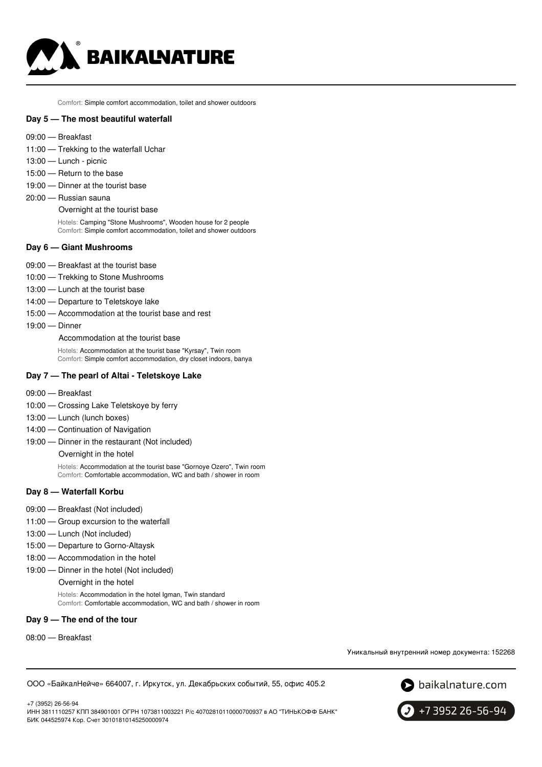

Comfort: Simple comfort accommodation, toilet and shower outdoors

#### **Day 5 — The most beautiful waterfall**

- 09:00 Breakfast
- 11:00 Trekking to the waterfall Uchar
- 13:00 Lunch picnic
- 15:00 Return to the base
- 19:00 Dinner at the tourist base
- 20:00 Russian sauna

Overnight at the tourist base

Hotels: Camping "Stone Mushrooms", Wooden house for 2 people Comfort: Simple comfort accommodation, toilet and shower outdoors

#### **Day 6 — Giant Mushrooms**

- 09:00 Breakfast at the tourist base
- 10:00 Trekking to Stone Mushrooms
- 13:00 Lunch at the tourist base
- 14:00 Departure to Teletskoye lake
- 15:00 Accommodation at the tourist base and rest
- 19:00 Dinner

Accommodation at the tourist base

Hotels: Accommodation at the tourist base "Kyrsay", Twin room Comfort: Simple comfort accommodation, dry closet indoors, banya

#### **Day 7 — The pearl of Altai - Teletskoye Lake**

- 09:00 Breakfast
- 10:00 Crossing Lake Teletskoye by ferry
- 13:00 Lunch (lunch boxes)
- 14:00 Continuation of Navigation
- 19:00 Dinner in the restaurant (Not included)

Overnight in the hotel

Hotels: Accommodation at the tourist base "Gornoye Ozero", Twin room Comfort: Comfortable accommodation, WC and bath / shower in room

#### **Day 8 — Waterfall Korbu**

- 09:00 Breakfast (Not included)
- 11:00 Group excursion to the waterfall
- 13:00 Lunch (Not included)
- 15:00 Departure to Gorno-Altaysk
- 18:00 Accommodation in the hotel
- 19:00 Dinner in the hotel (Not included) Overnight in the hotel

Hotels: Accommodation in the hotel Igman, Twin standard Comfort: Comfortable accommodation, WC and bath / shower in room

#### **Day 9 — The end of the tour**

08:00 — Breakfast

Уникальный внутренний номер документа: 152268

ООО «БайкалНейче» 664007, г. Иркутск, ул. Декабрьских событий, 55, офис 405.2





+7 3952 26-56-94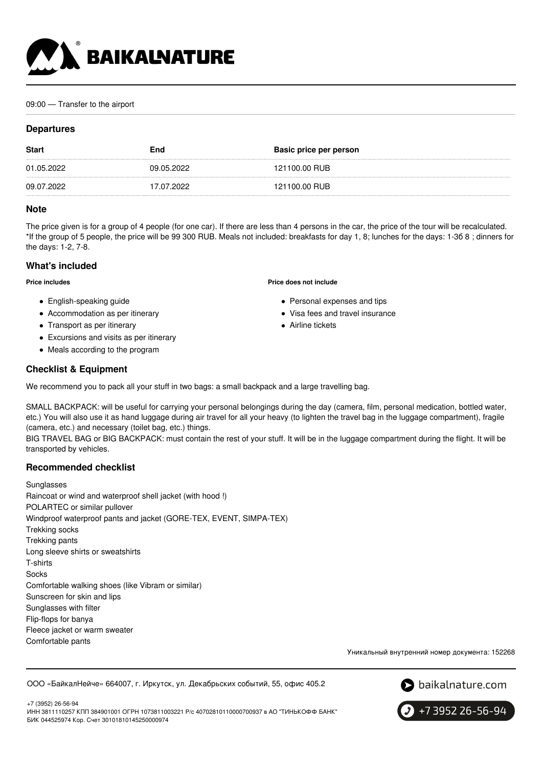

#### 09:00 — Transfer to the airport

### **Departures**

| <b>Start</b> | End        | Basic price per person |
|--------------|------------|------------------------|
| 01.05.2022   | 09.05.2022 | 121100.00 RUB          |
| 09.07.2022   | 17.07.2022 | 121100.00 RUB          |

#### **Note**

The price given is for a group of 4 people (for one car). If there are less than 4 persons in the car, the price of the tour will be recalculated. \*If the group of 5 people, the price will be 99 300 RUB. Meals not included: breakfasts for day 1, 8; lunches for the days: 1-3б 8 ; dinners for the days: 1-2, 7-8.

**Price does not include**

• Airline tickets

• Personal expenses and tips Visa fees and travel insurance

### **What's included**

**Price includes**

- English-speaking guide
- Accommodation as per itinerary
- Transport as per itinerary
- Excursions and visits as per itinerary
- Meals according to the program

### **Checklist & Equipment**

We recommend you to pack all your stuff in two bags: a small backpack and a large travelling bag.

SMALL BACKPACK: will be useful for carrying your personal belongings during the day (camera, film, personal medication, bottled water, etc.) You will also use it as hand luggage during air travel for all your heavy (to lighten the travel bag in the luggage compartment), fragile (camera, etc.) and necessary (toilet bag, etc.) things.

BIG TRAVEL BAG or BIG BACKPACK: must contain the rest of your stuff. It will be in the luggage compartment during the flight. It will be transported by vehicles.

### **Recommended checklist**

Sunglasses Raincoat or wind and waterproof shell jacket (with hood !) POLARTEC or similar pullover Windproof waterproof pants and jacket (GORE-TEX, EVENT, SIMPA-TEX) Trekking socks Trekking pants Long sleeve shirts or sweatshirts T-shirts **Socks** Comfortable walking shoes (like Vibram or similar) Sunscreen for skin and lips Sunglasses with filter Flip-flops for banya Fleece jacket or warm sweater Comfortable pants

Уникальный внутренний номер документа: 152268

#### ООО «БайкалНейче» 664007, г. Иркутск, ул. Декабрьских событий, 55, офис 405.2



+7 (3952) 26-56-94 ИНН 3811110257 КПП 384901001 ОГРН 1073811003221 Р/с 40702810110000700937 в АО "ТИНЬКОФФ БАНК" БИК 044525974 Кор. Счет 30101810145250000974

+7 3952 26-56-94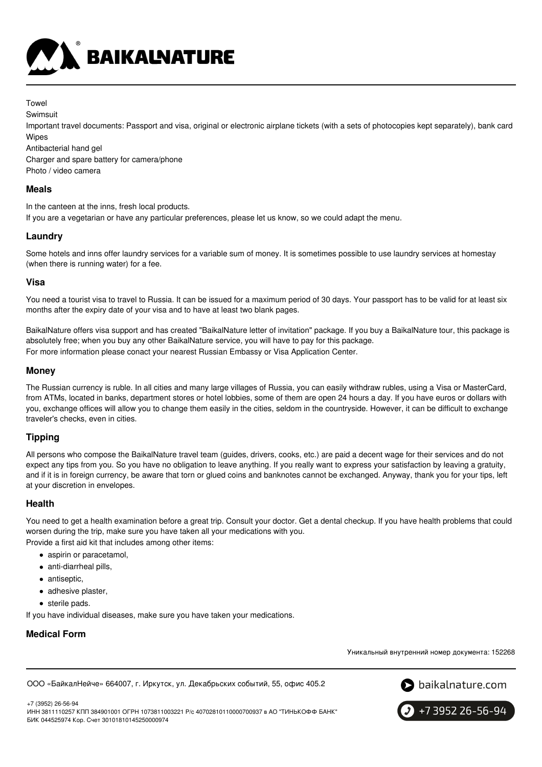

Towel

**Swimsuit** 

Important travel documents: Passport and visa, original or electronic airplane tickets (with a sets of photocopies kept separately), bank card Wipes

Antibacterial hand gel

Charger and spare battery for camera/phone Photo / video camera

# **Meals**

In the canteen at the inns, fresh local products.

If you are a vegetarian or have any particular preferences, please let us know, so we could adapt the menu.

# **Laundry**

Some hotels and inns offer laundry services for a variable sum of money. It is sometimes possible to use laundry services at homestay (when there is running water) for a fee.

# **Visa**

You need a tourist visa to travel to Russia. It can be issued for a maximum period of 30 days. Your passport has to be valid for at least six months after the expiry date of your visa and to have at least two blank pages.

BaikalNature offers visa support and has created "BaikalNature letter of invitation" package. If you buy a BaikalNature tour, this package is absolutely free; when you buy any other BaikalNature service, you will have to pay for this package. For more information please conact your nearest Russian Embassy or Visa Application Center.

### **Money**

The Russian currency is ruble. In all cities and many large villages of Russia, you can easily withdraw rubles, using a Visa or MasterCard, from ATMs, located in banks, department stores or hotel lobbies, some of them are open 24 hours a day. If you have euros or dollars with you, exchange offices will allow you to change them easily in the cities, seldom in the countryside. However, it can be difficult to exchange traveler's checks, even in cities.

# **Tipping**

All persons who compose the BaikalNature travel team (guides, drivers, cooks, etc.) are paid a decent wage for their services and do not expect any tips from you. So you have no obligation to leave anything. If you really want to express your satisfaction by leaving a gratuity, and if it is in foreign currency, be aware that torn or glued coins and banknotes cannot be exchanged. Anyway, thank you for your tips, left at your discretion in envelopes.

# **Health**

You need to get a health examination before a great trip. Consult your doctor. Get a dental checkup. If you have health problems that could worsen during the trip, make sure you have taken all your medications with you.

Provide a first aid kit that includes among other items:

- aspirin or paracetamol,
- anti-diarrheal pills,
- antiseptic,
- adhesive plaster.
- sterile pads.

If you have individual diseases, make sure you have taken your medications.

# **Medical Form**

Уникальный внутренний номер документа: 152268

ООО «БайкалНейче» 664007, г. Иркутск, ул. Декабрьских событий, 55, офис 405.2



+7 (3952) 26-56-94 ИНН 3811110257 КПП 384901001 ОГРН 1073811003221 Р/с 40702810110000700937 в АО "ТИНЬКОФФ БАНК" БИК 044525974 Кор. Счет 30101810145250000974